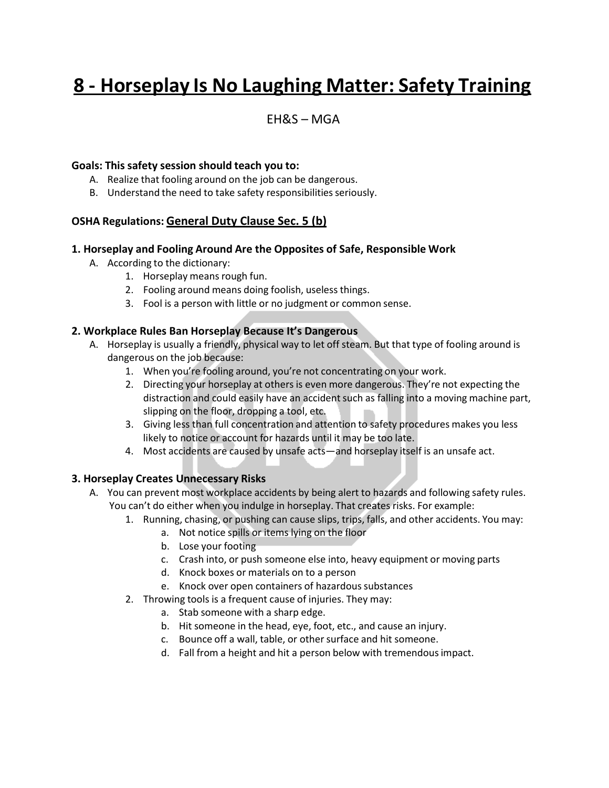# **8 - Horseplay Is No Laughing Matter: Safety Training**

### EH&S – MGA

#### **Goals: This safety session should teach you to:**

- A. Realize that fooling around on the job can be dangerous.
- B. Understand the need to take safety responsibilities seriously.

#### **OSHA Regulations: General Duty Clause Sec. 5 (b)**

#### **1. Horseplay and Fooling Around Are the Opposites of Safe, Responsible Work**

- A. According to the dictionary:
	- 1. Horseplay means rough fun.
	- 2. Fooling around means doing foolish, useless things.
	- 3. Fool is a person with little or no judgment or common sense.

#### **2. Workplace Rules Ban Horseplay Because It's Dangerous**

- A. Horseplay is usually a friendly, physical way to let off steam. But that type of fooling around is dangerous on the job because:
	- 1. When you're fooling around, you're not concentrating on your work.
	- 2. Directing your horseplay at others is even more dangerous. They're not expecting the distraction and could easily have an accident such as falling into a moving machine part, slipping on the floor, dropping a tool, etc.
	- 3. Giving less than full concentration and attention to safety procedures makes you less likely to notice or account for hazards until it may be too late.
	- 4. Most accidents are caused by unsafe acts—and horseplay itself is an unsafe act.

#### **3. Horseplay Creates Unnecessary Risks**

- A. You can prevent most workplace accidents by being alert to hazards and following safety rules. You can't do either when you indulge in horseplay. That creates risks. For example:
	- 1. Running, chasing, or pushing can cause slips, trips, falls, and other accidents. You may:
		- a. Not notice spills or items lying on the floor
		- b. Lose your footing
		- c. Crash into, or push someone else into, heavy equipment or moving parts
		- d. Knock boxes or materials on to a person
		- e. Knock over open containers of hazardous substances
	- 2. Throwing tools is a frequent cause of injuries. They may:
		- a. Stab someone with a sharp edge.
		- b. Hit someone in the head, eye, foot, etc., and cause an injury.
		- c. Bounce off a wall, table, or other surface and hit someone.
		- d. Fall from a height and hit a person below with tremendousimpact.